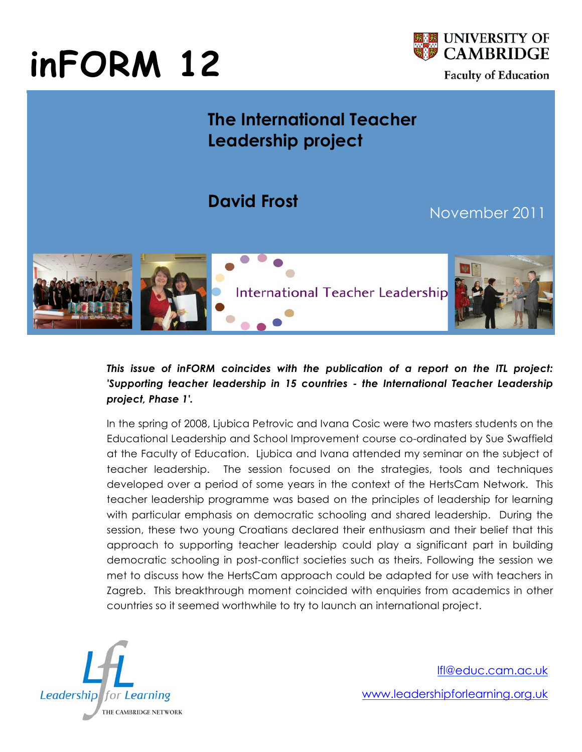# **inFORM 12**



## **The International Teacher Leadership project**

## **David Frost**

### November 2011



#### *This issue of inFORM coincides with the publication of a report on the ITL project: 'Supporting teacher leadership in 15 countries - the International Teacher Leadership project, Phase 1'.*

In the spring of 2008, Ljubica Petrovic and Ivana Cosic were two masters students on the Educational Leadership and School Improvement course co-ordinated by Sue Swaffield at the Faculty of Education. Ljubica and Ivana attended my seminar on the subject of teacher leadership. The session focused on the strategies, tools and techniques developed over a period of some years in the context of the HertsCam Network. This teacher leadership programme was based on the principles of leadership for learning with particular emphasis on democratic schooling and shared leadership. During the session, these two young Croatians declared their enthusiasm and their belief that this approach to supporting teacher leadership could play a significant part in building democratic schooling in post-conflict societies such as theirs. Following the session we met to discuss how the HertsCam approach could be adapted for use with teachers in Zagreb. This breakthrough moment coincided with enquiries from academics in other countries so it seemed worthwhile to try to launch an international project.



lfl@educ.cam.ac.uk www.leadershipforlearning.org.uk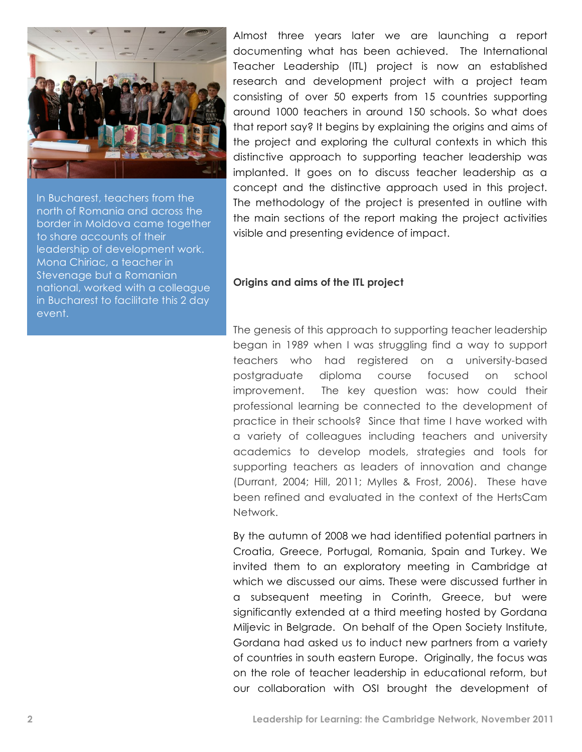

In Bucharest, teachers from the north of Romania and across the border in Moldova came together to share accounts of their leadership of development work. Mona Chiriac, a teacher in Stevenage but a Romanian national, worked with a colleague in Bucharest to facilitate this 2 day event.

Almost three years later we are launching a report documenting what has been achieved. The International Teacher Leadership (ITL) project is now an established research and development project with a project team consisting of over 50 experts from 15 countries supporting around 1000 teachers in around 150 schools. So what does that report say? It begins by explaining the origins and aims of the project and exploring the cultural contexts in which this distinctive approach to supporting teacher leadership was implanted. It goes on to discuss teacher leadership as a concept and the distinctive approach used in this project. The methodology of the project is presented in outline with the main sections of the report making the project activities visible and presenting evidence of impact.

#### **Origins and aims of the ITL project**

The genesis of this approach to supporting teacher leadership began in 1989 when I was struggling find a way to support teachers who had registered on a university-based postgraduate diploma course focused on school improvement. The key question was: how could their professional learning be connected to the development of practice in their schools? Since that time I have worked with a variety of colleagues including teachers and university academics to develop models, strategies and tools for supporting teachers as leaders of innovation and change (Durrant, 2004; Hill, 2011; Mylles & Frost, 2006). These have been refined and evaluated in the context of the HertsCam Network.

By the autumn of 2008 we had identified potential partners in Croatia, Greece, Portugal, Romania, Spain and Turkey. We invited them to an exploratory meeting in Cambridge at which we discussed our aims. These were discussed further in a subsequent meeting in Corinth, Greece, but were significantly extended at a third meeting hosted by Gordana Miljevic in Belgrade. On behalf of the Open Society Institute, Gordana had asked us to induct new partners from a variety of countries in south eastern Europe. Originally, the focus was on the role of teacher leadership in educational reform, but our collaboration with OSI brought the development of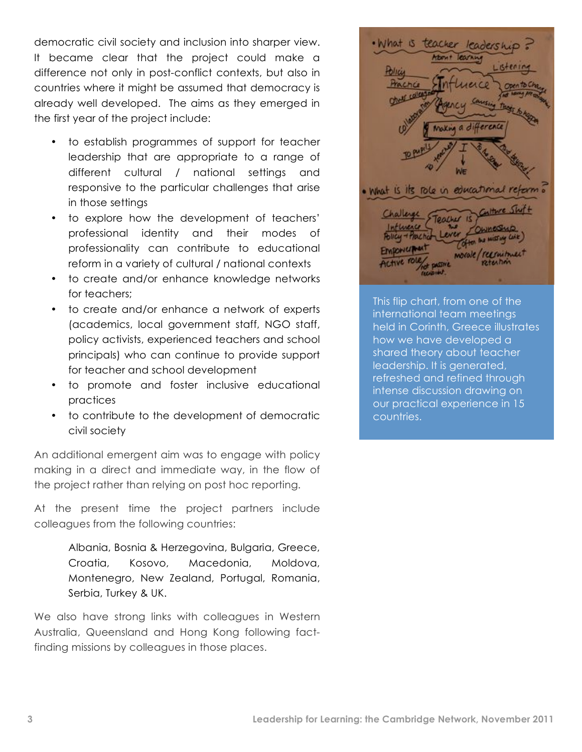democratic civil society and inclusion into sharper view. It became clear that the project could make a difference not only in post-conflict contexts, but also in countries where it might be assumed that democracy is already well developed. The aims as they emerged in the first year of the project include:

- to establish programmes of support for teacher leadership that are appropriate to a range of different cultural / national settings and responsive to the particular challenges that arise in those settings
- to explore how the development of teachers' professional identity and their modes of professionality can contribute to educational reform in a variety of cultural / national contexts
- to create and/or enhance knowledge networks for teachers;
- to create and/or enhance a network of experts (academics, local government staff, NGO staff, policy activists, experienced teachers and school principals) who can continue to provide support for teacher and school development
- to promote and foster inclusive educational practices
- to contribute to the development of democratic civil society

An additional emergent aim was to engage with policy making in a direct and immediate way, in the flow of the project rather than relying on post hoc reporting.

At the present time the project partners include colleagues from the following countries:

> Albania, Bosnia & Herzegovina, Bulgaria, Greece, Croatia, Kosovo, Macedonia, Moldova, Montenegro, New Zealand, Portugal, Romania, Serbia, Turkey & UK.

We also have strong links with colleagues in Western Australia, Queensland and Hong Kong following factfinding missions by colleagues in those places.

· What is TRacher What is its role in educational refer FLANRACE morale/recruitment

This flip chart, from one of the international team meetings held in Corinth, Greece illustrates how we have developed a shared theory about teacher leadership. It is generated, refreshed and refined through intense discussion drawing on our practical experience in 15 countries.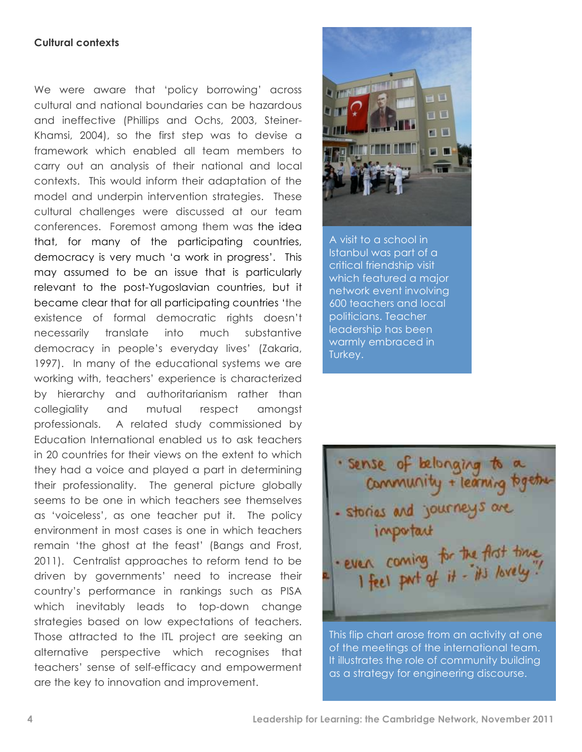#### **Cultural contexts**

We were aware that 'policy borrowing' across cultural and national boundaries can be hazardous and ineffective (Phillips and Ochs, 2003, Steiner-Khamsi, 2004), so the first step was to devise a framework which enabled all team members to carry out an analysis of their national and local contexts. This would inform their adaptation of the model and underpin intervention strategies. These cultural challenges were discussed at our team conferences. Foremost among them was the idea that, for many of the participating countries, democracy is very much 'a work in progress'. This may assumed to be an issue that is particularly relevant to the post-Yugoslavian countries, but it became clear that for all participating countries 'the existence of formal democratic rights doesn't necessarily translate into much substantive democracy in people's everyday lives' (Zakaria, 1997). In many of the educational systems we are working with, teachers' experience is characterized by hierarchy and authoritarianism rather than collegiality and mutual respect amongst professionals. A related study commissioned by Education International enabled us to ask teachers in 20 countries for their views on the extent to which they had a voice and played a part in determining their professionality. The general picture globally seems to be one in which teachers see themselves as 'voiceless', as one teacher put it. The policy environment in most cases is one in which teachers remain 'the ghost at the feast' (Bangs and Frost, 2011). Centralist approaches to reform tend to be driven by governments' need to increase their country's performance in rankings such as PISA which inevitably leads to top-down change strategies based on low expectations of teachers. Those attracted to the ITL project are seeking an alternative perspective which recognises that teachers' sense of self-efficacy and empowerment are the key to innovation and improvement.



A visit to a school in Istanbul was part of a critical friendship visit which featured a major network event involving 600 teachers and local politicians. Teacher leadership has been warmly embraced in Turkey.

· sense of belonging to a community + learning together - stories and journeys are important · even coming for the fligt time.<br>I feel put of it - it's lovely."

This flip chart arose from an activity at one of the meetings of the international team. It illustrates the role of community building as a strategy for engineering discourse.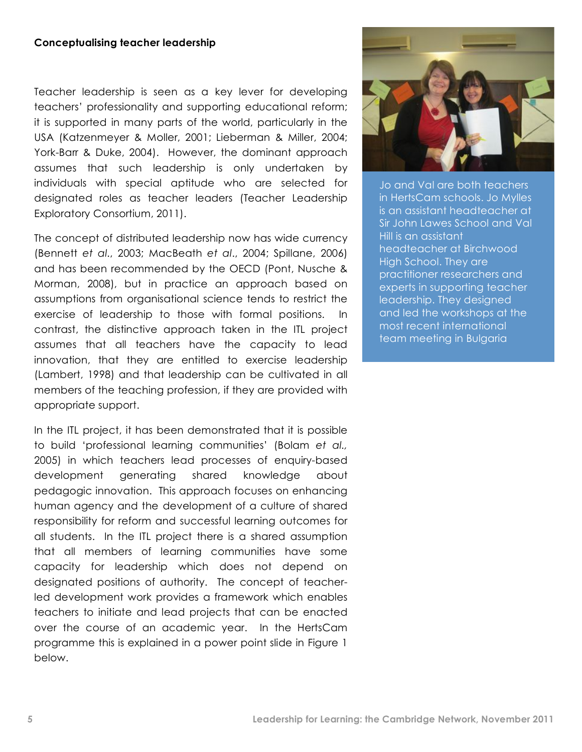#### **Conceptualising teacher leadership**

Teacher leadership is seen as a key lever for developing teachers' professionality and supporting educational reform; it is supported in many parts of the world, particularly in the USA (Katzenmeyer & Moller, 2001; Lieberman & Miller, 2004; York-Barr & Duke, 2004). However, the dominant approach assumes that such leadership is only undertaken by individuals with special aptitude who are selected for designated roles as teacher leaders (Teacher Leadership Exploratory Consortium, 2011).

The concept of distributed leadership now has wide currency (Bennett *et al*., 2003; MacBeath *et al*., 2004; Spillane, 2006) and has been recommended by the OECD (Pont, Nusche & Morman, 2008), but in practice an approach based on assumptions from organisational science tends to restrict the exercise of leadership to those with formal positions. In contrast, the distinctive approach taken in the ITL project assumes that all teachers have the capacity to lead innovation, that they are entitled to exercise leadership (Lambert, 1998) and that leadership can be cultivated in all members of the teaching profession, if they are provided with appropriate support.

In the ITL project, it has been demonstrated that it is possible to build 'professional learning communities' (Bolam *et al.,*  2005) in which teachers lead processes of enquiry-based development generating shared knowledge about pedagogic innovation. This approach focuses on enhancing human agency and the development of a culture of shared responsibility for reform and successful learning outcomes for all students. In the ITL project there is a shared assumption that all members of learning communities have some capacity for leadership which does not depend on designated positions of authority. The concept of teacherled development work provides a framework which enables teachers to initiate and lead projects that can be enacted over the course of an academic year. In the HertsCam programme this is explained in a power point slide in Figure 1 below.



Jo and Val are both teachers in HertsCam schools. Jo Mylles is an assistant headteacher at Sir John Lawes School and Val Hill is an assistant headteacher at Birchwood High School. They are practitioner researchers and experts in supporting teacher leadership. They designed and led the workshops at the most recent international team meeting in Bulgaria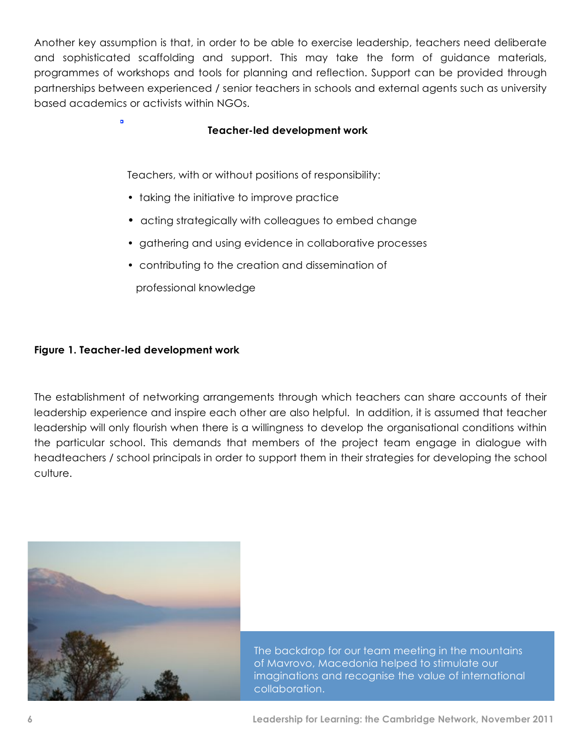Another key assumption is that, in order to be able to exercise leadership, teachers need deliberate and sophisticated scaffolding and support. This may take the form of guidance materials, programmes of workshops and tools for planning and reflection. Support can be provided through partnerships between experienced / senior teachers in schools and external agents such as university based academics or activists within NGOs.

#### **Teacher-led development work**

Teachers, with or without positions of responsibility:

- taking the initiative to improve practice
- acting strategically with colleagues to embed change
- gathering and using evidence in collaborative processes
- contributing to the creation and dissemination of

professional knowledge

#### **Figure 1. Teacher-led development work**

 $\overline{a}$ 

The establishment of networking arrangements through which teachers can share accounts of their leadership experience and inspire each other are also helpful. In addition, it is assumed that teacher leadership will only flourish when there is a willingness to develop the organisational conditions within the particular school. This demands that members of the project team engage in dialogue with headteachers / school principals in order to support them in their strategies for developing the school culture.



The backdrop for our team meeting in the mountains of Mavrovo, Macedonia helped to stimulate our imaginations and recognise the value of international collaboration.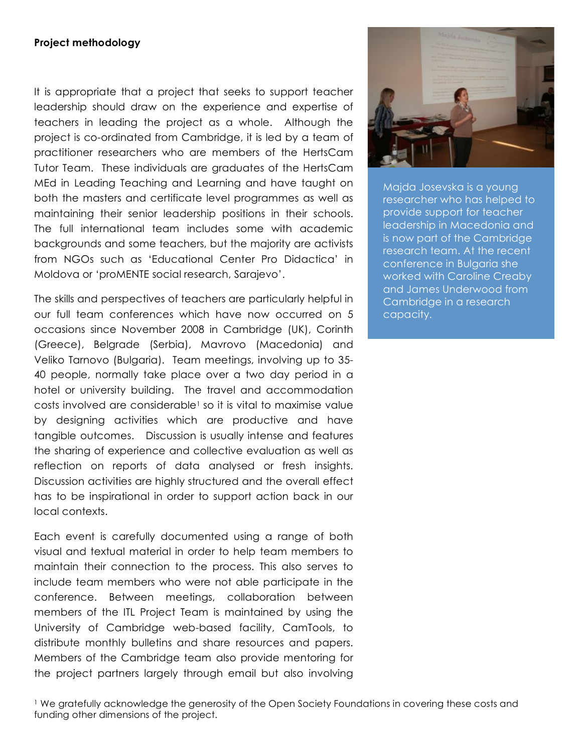#### **Project methodology**

It is appropriate that a project that seeks to support teacher leadership should draw on the experience and expertise of teachers in leading the project as a whole. Although the project is co-ordinated from Cambridge, it is led by a team of practitioner researchers who are members of the HertsCam Tutor Team. These individuals are graduates of the HertsCam MEd in Leading Teaching and Learning and have taught on both the masters and certificate level programmes as well as maintaining their senior leadership positions in their schools. The full international team includes some with academic backgrounds and some teachers, but the majority are activists from NGOs such as 'Educational Center Pro Didactica' in Moldova or 'proMENTE social research, Sarajevo'.

The skills and perspectives of teachers are particularly helpful in our full team conferences which have now occurred on 5 occasions since November 2008 in Cambridge (UK), Corinth (Greece), Belgrade (Serbia), Mavrovo (Macedonia) and Veliko Tarnovo (Bulgaria). Team meetings, involving up to 35- 40 people, normally take place over a two day period in a hotel or university building. The travel and accommodation  $costs$  involved are considerable<sup>1</sup> so it is vital to maximise value by designing activities which are productive and have tangible outcomes. Discussion is usually intense and features the sharing of experience and collective evaluation as well as reflection on reports of data analysed or fresh insights. Discussion activities are highly structured and the overall effect has to be inspirational in order to support action back in our local contexts.

Each event is carefully documented using a range of both visual and textual material in order to help team members to maintain their connection to the process. This also serves to include team members who were not able participate in the conference. Between meetings, collaboration between members of the ITL Project Team is maintained by using the University of Cambridge web-based facility, CamTools, to distribute monthly bulletins and share resources and papers. Members of the Cambridge team also provide mentoring for the project partners largely through email but also involving



Majda Josevska is a young researcher who has helped to provide support for teacher leadership in Macedonia and is now part of the Cambridge research team. At the recent conference in Bulgaria she worked with Caroline Creaby and James Underwood from Cambridge in a research capacity.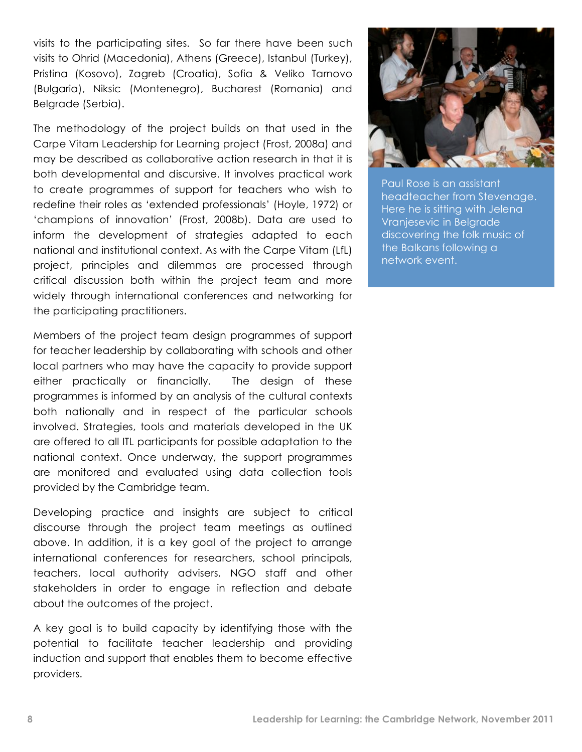visits to the participating sites. So far there have been such visits to Ohrid (Macedonia), Athens (Greece), Istanbul (Turkey), Pristina (Kosovo), Zagreb (Croatia), Sofia & Veliko Tarnovo (Bulgaria), Niksic (Montenegro), Bucharest (Romania) and Belgrade (Serbia).

The methodology of the project builds on that used in the Carpe Vitam Leadership for Learning project (Frost, 2008a) and may be described as collaborative action research in that it is both developmental and discursive. It involves practical work to create programmes of support for teachers who wish to redefine their roles as 'extended professionals' (Hoyle, 1972) or 'champions of innovation' (Frost, 2008b). Data are used to inform the development of strategies adapted to each national and institutional context. As with the Carpe Vitam (LfL) project, principles and dilemmas are processed through critical discussion both within the project team and more widely through international conferences and networking for the participating practitioners.

Members of the project team design programmes of support for teacher leadership by collaborating with schools and other local partners who may have the capacity to provide support either practically or financially. The design of these programmes is informed by an analysis of the cultural contexts both nationally and in respect of the particular schools involved. Strategies, tools and materials developed in the UK are offered to all ITL participants for possible adaptation to the national context. Once underway, the support programmes are monitored and evaluated using data collection tools provided by the Cambridge team.

Developing practice and insights are subject to critical discourse through the project team meetings as outlined above. In addition, it is a key goal of the project to arrange international conferences for researchers, school principals, teachers, local authority advisers, NGO staff and other stakeholders in order to engage in reflection and debate about the outcomes of the project.

A key goal is to build capacity by identifying those with the potential to facilitate teacher leadership and providing induction and support that enables them to become effective providers.



Paul Rose is an assistant headteacher from Stevenage. Here he is sitting with Jelena Vranjesevic in Belgrade discovering the folk music of the Balkans following a network event.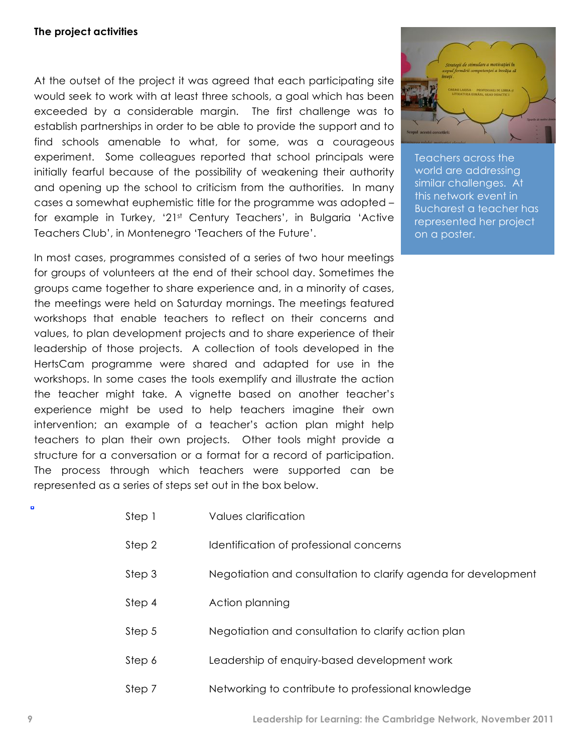#### **The project activities**

At the outset of the project it was agreed that each participating site would seek to work with at least three schools, a goal which has been exceeded by a considerable margin. The first challenge was to establish partnerships in order to be able to provide the support and to find schools amenable to what, for some, was a courageous experiment. Some colleagues reported that school principals were initially fearful because of the possibility of weakening their authority and opening up the school to criticism from the authorities. In many cases a somewhat euphemistic title for the programme was adopted – for example in Turkey, '21st Century Teachers', in Bulgaria 'Active Teachers Club', in Montenegro 'Teachers of the Future'.

In most cases, programmes consisted of a series of two hour meetings for groups of volunteers at the end of their school day. Sometimes the groups came together to share experience and, in a minority of cases, the meetings were held on Saturday mornings. The meetings featured workshops that enable teachers to reflect on their concerns and values, to plan development projects and to share experience of their leadership of those projects. A collection of tools developed in the HertsCam programme were shared and adapted for use in the workshops. In some cases the tools exemplify and illustrate the action the teacher might take. A vignette based on another teacher's experience might be used to help teachers imagine their own intervention; an example of a teacher's action plan might help teachers to plan their own projects. Other tools might provide a structure for a conversation or a format for a record of participation. The process through which teachers were supported can be represented as a series of steps set out in the box below.



Teachers across the world are addressing similar challenges. At this network event in Bucharest a teacher has represented her project on a poster.

| Step 1 | Values clarification |
|--------|----------------------|
|        |                      |

- Step 2 Identification of professional concerns
- Step 3 Negotiation and consultation to clarify agenda for development
- Step 4 Action planning
- Step 5 Negotiation and consultation to clarify action plan
- Step 6 Leadership of enquiry-based development work
- Step 7 Networking to contribute to professional knowledge

o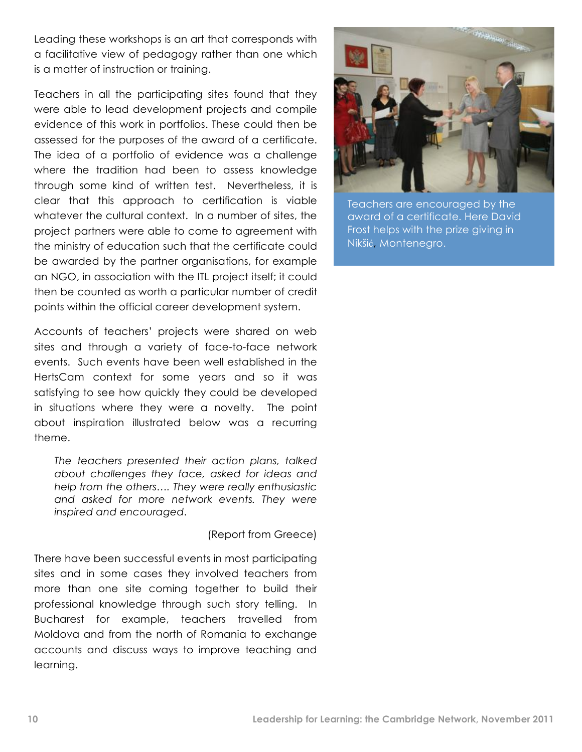Leading these workshops is an art that corresponds with a facilitative view of pedagogy rather than one which is a matter of instruction or training.

Teachers in all the participating sites found that they were able to lead development projects and compile evidence of this work in portfolios. These could then be assessed for the purposes of the award of a certificate. The idea of a portfolio of evidence was a challenge where the tradition had been to assess knowledge through some kind of written test. Nevertheless, it is clear that this approach to certification is viable whatever the cultural context. In a number of sites, the project partners were able to come to agreement with the ministry of education such that the certificate could be awarded by the partner organisations, for example an NGO, in association with the ITL project itself; it could then be counted as worth a particular number of credit points within the official career development system.

Accounts of teachers' projects were shared on web sites and through a variety of face-to-face network events. Such events have been well established in the HertsCam context for some years and so it was satisfying to see how quickly they could be developed in situations where they were a novelty. The point about inspiration illustrated below was a recurring theme.

*The teachers presented their action plans, talked about challenges they face, asked for ideas and help from the others…. They were really enthusiastic and asked for more network events. They were inspired and encouraged*.

(Report from Greece)

There have been successful events in most participating sites and in some cases they involved teachers from more than one site coming together to build their professional knowledge through such story telling. In Bucharest for example, teachers travelled from Moldova and from the north of Romania to exchange accounts and discuss ways to improve teaching and learning.



Teachers are encouraged by the award of a certificate. Here David Frost helps with the prize giving in Nikšić, Montenegro.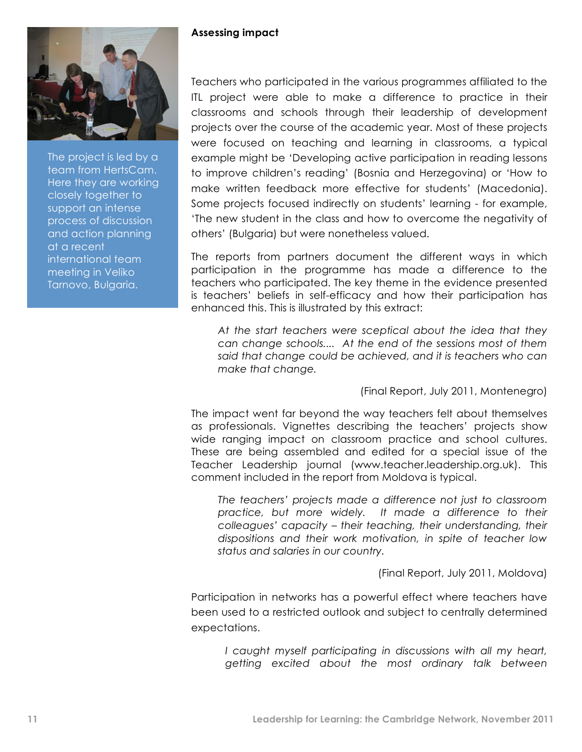

The project is led by a team from HertsCam. Here they are working closely together to support an intense process of discussion and action planning at a recent international team meeting in Veliko Tarnovo, Bulgaria.

#### **Assessing impact**

Teachers who participated in the various programmes affiliated to the ITL project were able to make a difference to practice in their classrooms and schools through their leadership of development projects over the course of the academic year. Most of these projects were focused on teaching and learning in classrooms, a typical example might be 'Developing active participation in reading lessons to improve children's reading' (Bosnia and Herzegovina) or 'How to make written feedback more effective for students' (Macedonia). Some projects focused indirectly on students' learning - for example, 'The new student in the class and how to overcome the negativity of others' (Bulgaria) but were nonetheless valued.

The reports from partners document the different ways in which participation in the programme has made a difference to the teachers who participated. The key theme in the evidence presented is teachers' beliefs in self-efficacy and how their participation has enhanced this. This is illustrated by this extract:

*At the start teachers were sceptical about the idea that they can change schools.... At the end of the sessions most of them said that change could be achieved, and it is teachers who can make that change.*

(Final Report, July 2011, Montenegro)

The impact went far beyond the way teachers felt about themselves as professionals. Vignettes describing the teachers' projects show wide ranging impact on classroom practice and school cultures. These are being assembled and edited for a special issue of the Teacher Leadership journal (www.teacher.leadership.org.uk). This comment included in the report from Moldova is typical.

*The teachers' projects made a difference not just to classroom practice, but more widely. It made a difference to their colleagues' capacity – their teaching, their understanding, their dispositions and their work motivation, in spite of teacher low status and salaries in our country.*

(Final Report, July 2011, Moldova)

Participation in networks has a powerful effect where teachers have been used to a restricted outlook and subject to centrally determined expectations.

*I caught myself participating in discussions with all my heart, getting excited about the most ordinary talk between*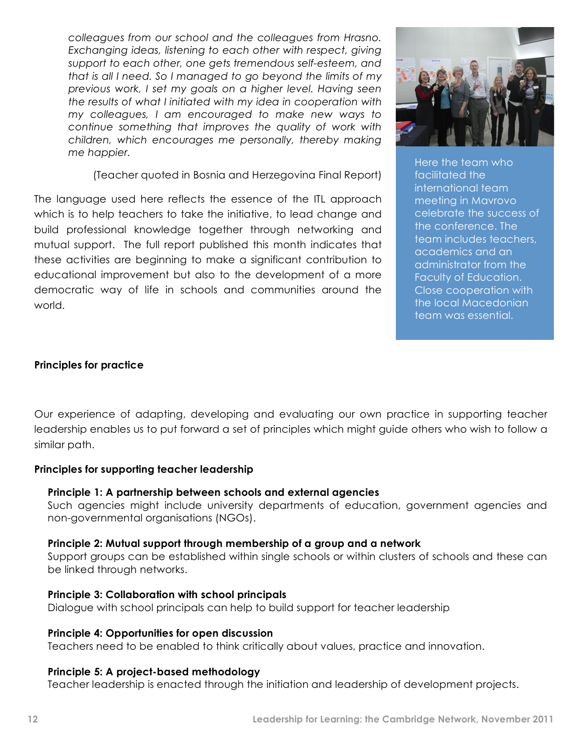*colleagues from our school and the colleagues from Hrasno. Exchanging ideas, listening to each other with respect, giving support to each other, one gets tremendous self-esteem, and that is all I need. So I managed to go beyond the limits of my previous work, I set my goals on a higher level. Having seen the results of what I initiated with my idea in cooperation with my colleagues, I am encouraged to make new ways to continue something that improves the quality of work with children, which encourages me personally, thereby making me happier.*

(Teacher quoted in Bosnia and Herzegovina Final Report)

The language used here reflects the essence of the ITL approach which is to help teachers to take the initiative, to lead change and build professional knowledge together through networking and mutual support. The full report published this month indicates that these activities are beginning to make a significant contribution to educational improvement but also to the development of a more democratic way of life in schools and communities around the world.



Here the team who facilitated the international team meeting in Mavrovo celebrate the success of the conference. The team includes teachers, academics and an administrator from the Faculty of Education. Close cooperation with the local Macedonian team was essential.

#### **Principles for practice**

Our experience of adapting, developing and evaluating our own practice in supporting teacher leadership enables us to put forward a set of principles which might guide others who wish to follow a similar path.

#### **Principles for supporting teacher leadership**

#### **Principle 1: A partnership between schools and external agencies**

Such agencies might include university departments of education, government agencies and non-governmental organisations (NGOs).

#### **Principle 2: Mutual support through membership of a group and a network**

Support groups can be established within single schools or within clusters of schools and these can be linked through networks.

#### **Principle 3: Collaboration with school principals**

Dialogue with school principals can help to build support for teacher leadership

#### **Principle 4: Opportunities for open discussion**

Teachers need to be enabled to think critically about values, practice and innovation.

#### **Principle 5: A project-based methodology**

Teacher leadership is enacted through the initiation and leadership of development projects.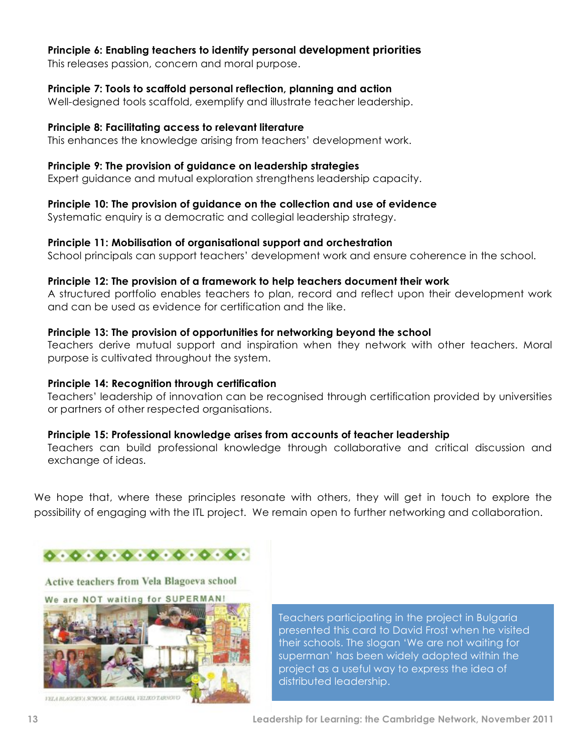#### **Principle 6: Enabling teachers to identify personal development priorities**

This releases passion, concern and moral purpose.

#### **Principle 7: Tools to scaffold personal reflection, planning and action**

Well-designed tools scaffold, exemplify and illustrate teacher leadership.

#### **Principle 8: Facilitating access to relevant literature**

This enhances the knowledge arising from teachers' development work.

#### **Principle 9: The provision of guidance on leadership strategies**

Expert guidance and mutual exploration strengthens leadership capacity.

#### **Principle 10: The provision of guidance on the collection and use of evidence**

Systematic enquiry is a democratic and collegial leadership strategy.

#### **Principle 11: Mobilisation of organisational support and orchestration**

School principals can support teachers' development work and ensure coherence in the school.

#### **Principle 12: The provision of a framework to help teachers document their work**

A structured portfolio enables teachers to plan, record and reflect upon their development work and can be used as evidence for certification and the like.

#### **Principle 13: The provision of opportunities for networking beyond the school**

Teachers derive mutual support and inspiration when they network with other teachers. Moral purpose is cultivated throughout the system.

#### **Principle 14: Recognition through certification**

Teachers' leadership of innovation can be recognised through certification provided by universities or partners of other respected organisations.

#### **Principle 15: Professional knowledge arises from accounts of teacher leadership**

Teachers can build professional knowledge through collaborative and critical discussion and exchange of ideas.

We hope that, where these principles resonate with others, they will get in touch to explore the possibility of engaging with the ITL project. We remain open to further networking and collaboration.



Active teachers from Vela Blagoeva school We are NOT waiting for SUPERMAN!



VELA BLAGGEVA SCHOOL BULGARIA, VELIKO TARNOVO

Teachers participating in the project in Bulgaria presented this card to David Frost when he visited their schools. The slogan 'We are not waiting for superman' has been widely adopted within the project as a useful way to express the idea of distributed leadership.